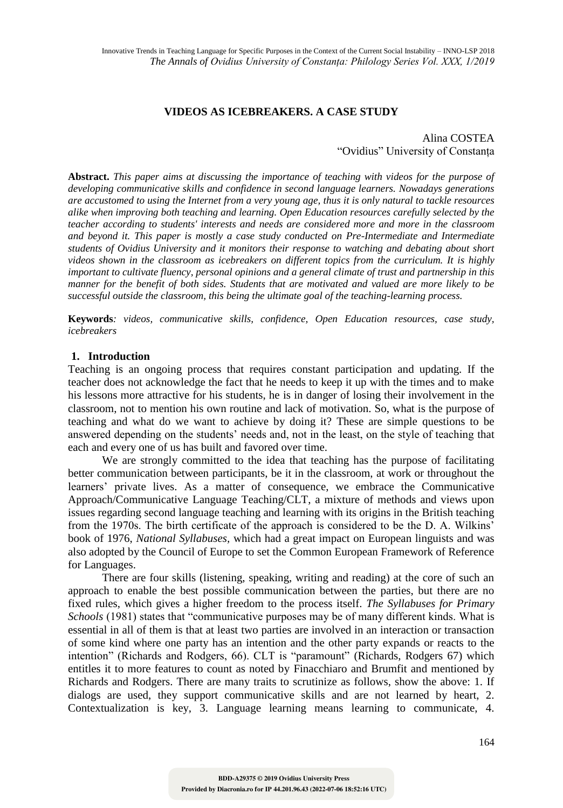# **VIDEOS AS ICEBREAKERS. A CASE STUDY**

# Alina COSTEA "Ovidius" University of Constanța

**Abstract.** *This paper aims at discussing the importance of teaching with videos for the purpose of developing communicative skills and confidence in second language learners. Nowadays generations are accustomed to using the Internet from a very young age, thus it is only natural to tackle resources alike when improving both teaching and learning. Open Education resources carefully selected by the teacher according to students' interests and needs are considered more and more in the classroom and beyond it. This paper is mostly a case study conducted on Pre-Intermediate and Intermediate students of Ovidius University and it monitors their response to watching and debating about short videos shown in the classroom as icebreakers on different topics from the curriculum. It is highly important to cultivate fluency, personal opinions and a general climate of trust and partnership in this manner for the benefit of both sides. Students that are motivated and valued are more likely to be successful outside the classroom, this being the ultimate goal of the teaching-learning process.*

**Keywords***: videos, communicative skills, confidence, Open Education resources, case study, icebreakers*

#### **1. Introduction**

Teaching is an ongoing process that requires constant participation and updating. If the teacher does not acknowledge the fact that he needs to keep it up with the times and to make his lessons more attractive for his students, he is in danger of losing their involvement in the classroom, not to mention his own routine and lack of motivation. So, what is the purpose of teaching and what do we want to achieve by doing it? These are simple questions to be answered depending on the students' needs and, not in the least, on the style of teaching that each and every one of us has built and favored over time.

We are strongly committed to the idea that teaching has the purpose of facilitating better communication between participants, be it in the classroom, at work or throughout the learners' private lives. As a matter of consequence, we embrace the Communicative Approach/Communicative Language Teaching/CLT, a mixture of methods and views upon issues regarding second language teaching and learning with its origins in the British teaching from the 1970s. The birth certificate of the approach is considered to be the D. A. Wilkins' book of 1976, *National Syllabuses,* which had a great impact on European linguists and was also adopted by the Council of Europe to set the Common European Framework of Reference for Languages.

There are four skills (listening, speaking, writing and reading) at the core of such an approach to enable the best possible communication between the parties, but there are no fixed rules, which gives a higher freedom to the process itself. *The Syllabuses for Primary Schools* (1981) states that "communicative purposes may be of many different kinds. What is essential in all of them is that at least two parties are involved in an interaction or transaction of some kind where one party has an intention and the other party expands or reacts to the intention" (Richards and Rodgers, 66). CLT is "paramount" (Richards, Rodgers 67) which entitles it to more features to count as noted by Finacchiaro and Brumfit and mentioned by Richards and Rodgers. There are many traits to scrutinize as follows, show the above: 1. If dialogs are used, they support communicative skills and are not learned by heart, 2. Contextualization is key, 3. Language learning means learning to communicate, 4.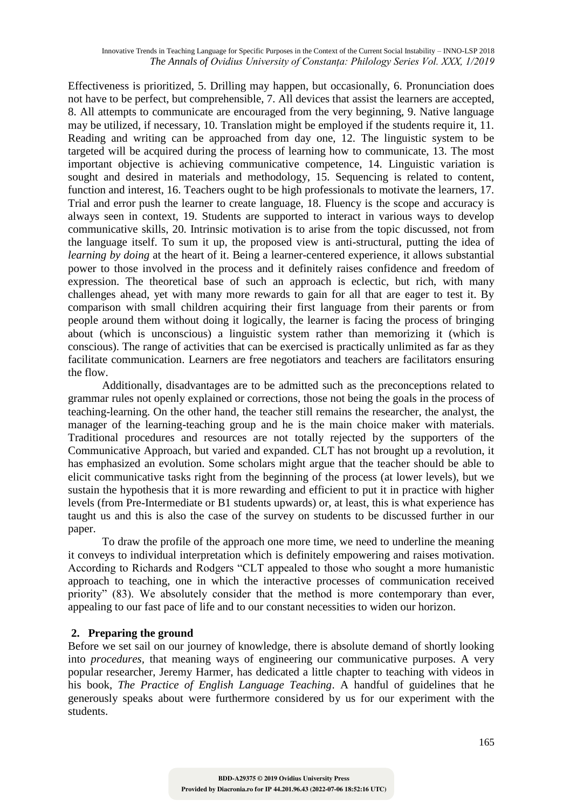Effectiveness is prioritized, 5. Drilling may happen, but occasionally, 6. Pronunciation does not have to be perfect, but comprehensible, 7. All devices that assist the learners are accepted, 8. All attempts to communicate are encouraged from the very beginning, 9. Native language may be utilized, if necessary, 10. Translation might be employed if the students require it, 11. Reading and writing can be approached from day one, 12. The linguistic system to be targeted will be acquired during the process of learning how to communicate, 13. The most important objective is achieving communicative competence, 14. Linguistic variation is sought and desired in materials and methodology, 15. Sequencing is related to content, function and interest, 16. Teachers ought to be high professionals to motivate the learners, 17. Trial and error push the learner to create language, 18. Fluency is the scope and accuracy is always seen in context, 19. Students are supported to interact in various ways to develop communicative skills, 20. Intrinsic motivation is to arise from the topic discussed, not from the language itself. To sum it up, the proposed view is anti-structural, putting the idea of *learning by doing* at the heart of it. Being a learner-centered experience, it allows substantial power to those involved in the process and it definitely raises confidence and freedom of expression. The theoretical base of such an approach is eclectic, but rich, with many challenges ahead, yet with many more rewards to gain for all that are eager to test it. By comparison with small children acquiring their first language from their parents or from people around them without doing it logically, the learner is facing the process of bringing about (which is unconscious) a linguistic system rather than memorizing it (which is conscious). The range of activities that can be exercised is practically unlimited as far as they facilitate communication. Learners are free negotiators and teachers are facilitators ensuring the flow.

Additionally, disadvantages are to be admitted such as the preconceptions related to grammar rules not openly explained or corrections, those not being the goals in the process of teaching-learning. On the other hand, the teacher still remains the researcher, the analyst, the manager of the learning-teaching group and he is the main choice maker with materials. Traditional procedures and resources are not totally rejected by the supporters of the Communicative Approach, but varied and expanded. CLT has not brought up a revolution, it has emphasized an evolution. Some scholars might argue that the teacher should be able to elicit communicative tasks right from the beginning of the process (at lower levels), but we sustain the hypothesis that it is more rewarding and efficient to put it in practice with higher levels (from Pre-Intermediate or B1 students upwards) or, at least, this is what experience has taught us and this is also the case of the survey on students to be discussed further in our paper.

To draw the profile of the approach one more time, we need to underline the meaning it conveys to individual interpretation which is definitely empowering and raises motivation. According to Richards and Rodgers "CLT appealed to those who sought a more humanistic approach to teaching, one in which the interactive processes of communication received priority" (83). We absolutely consider that the method is more contemporary than ever, appealing to our fast pace of life and to our constant necessities to widen our horizon.

### **2. Preparing the ground**

Before we set sail on our journey of knowledge, there is absolute demand of shortly looking into *procedures,* that meaning ways of engineering our communicative purposes. A very popular researcher, Jeremy Harmer, has dedicated a little chapter to teaching with videos in his book, *The Practice of English Language Teaching*. A handful of guidelines that he generously speaks about were furthermore considered by us for our experiment with the students.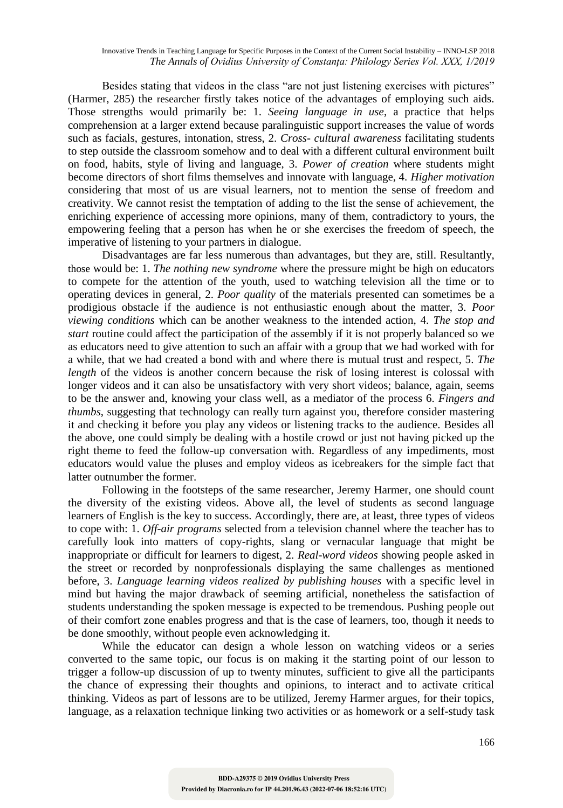Besides stating that videos in the class "are not just listening exercises with pictures" (Harmer, 285) the researcher firstly takes notice of the advantages of employing such aids. Those strengths would primarily be: 1. *Seeing language in use*, a practice that helps comprehension at a larger extend because paralinguistic support increases the value of words such as facials, gestures, intonation, stress, 2. *Cross- cultural awareness* facilitating students to step outside the classroom somehow and to deal with a different cultural environment built on food, habits, style of living and language, 3. *Power of creation* where students might become directors of short films themselves and innovate with language, 4. *Higher motivation* considering that most of us are visual learners, not to mention the sense of freedom and creativity. We cannot resist the temptation of adding to the list the sense of achievement, the enriching experience of accessing more opinions, many of them, contradictory to yours, the empowering feeling that a person has when he or she exercises the freedom of speech, the imperative of listening to your partners in dialogue.

Disadvantages are far less numerous than advantages, but they are, still. Resultantly, those would be: 1. *The nothing new syndrome* where the pressure might be high on educators to compete for the attention of the youth, used to watching television all the time or to operating devices in general, 2. *Poor quality* of the materials presented can sometimes be a prodigious obstacle if the audience is not enthusiastic enough about the matter, 3. *Poor viewing conditions* which can be another weakness to the intended action, 4. *The stop and start* routine could affect the participation of the assembly if it is not properly balanced so we as educators need to give attention to such an affair with a group that we had worked with for a while, that we had created a bond with and where there is mutual trust and respect, 5*. The length* of the videos is another concern because the risk of losing interest is colossal with longer videos and it can also be unsatisfactory with very short videos; balance, again, seems to be the answer and, knowing your class well, as a mediator of the process 6. *Fingers and thumbs*, suggesting that technology can really turn against you, therefore consider mastering it and checking it before you play any videos or listening tracks to the audience. Besides all the above, one could simply be dealing with a hostile crowd or just not having picked up the right theme to feed the follow-up conversation with. Regardless of any impediments, most educators would value the pluses and employ videos as icebreakers for the simple fact that latter outnumber the former.

Following in the footsteps of the same researcher, Jeremy Harmer, one should count the diversity of the existing videos. Above all, the level of students as second language learners of English is the key to success. Accordingly, there are, at least, three types of videos to cope with: 1. *Off-air programs* selected from a television channel where the teacher has to carefully look into matters of copy-rights, slang or vernacular language that might be inappropriate or difficult for learners to digest, 2. *Real-word videos* showing people asked in the street or recorded by nonprofessionals displaying the same challenges as mentioned before, 3. *Language learning videos realized by publishing houses* with a specific level in mind but having the major drawback of seeming artificial, nonetheless the satisfaction of students understanding the spoken message is expected to be tremendous. Pushing people out of their comfort zone enables progress and that is the case of learners, too, though it needs to be done smoothly, without people even acknowledging it.

While the educator can design a whole lesson on watching videos or a series converted to the same topic, our focus is on making it the starting point of our lesson to trigger a follow-up discussion of up to twenty minutes, sufficient to give all the participants the chance of expressing their thoughts and opinions, to interact and to activate critical thinking. Videos as part of lessons are to be utilized, Jeremy Harmer argues, for their topics, language, as a relaxation technique linking two activities or as homework or a self-study task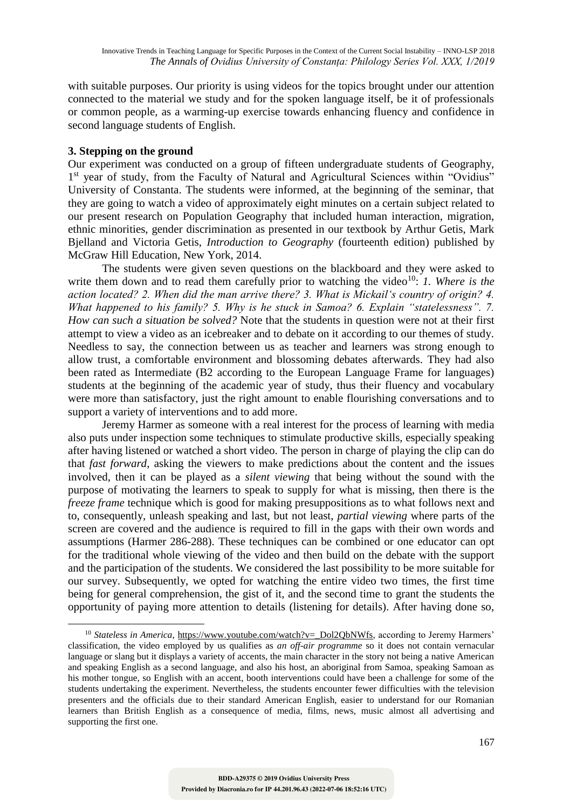with suitable purposes. Our priority is using videos for the topics brought under our attention connected to the material we study and for the spoken language itself, be it of professionals or common people, as a warming-up exercise towards enhancing fluency and confidence in second language students of English.

#### **3. Stepping on the ground**

1

Our experiment was conducted on a group of fifteen undergraduate students of Geography, 1<sup>st</sup> year of study, from the Faculty of Natural and Agricultural Sciences within "Ovidius" University of Constanta. The students were informed, at the beginning of the seminar, that they are going to watch a video of approximately eight minutes on a certain subject related to our present research on Population Geography that included human interaction, migration, ethnic minorities, gender discrimination as presented in our textbook by Arthur Getis, Mark Bjelland and Victoria Getis, *Introduction to Geography* (fourteenth edition) published by McGraw Hill Education, New York, 2014.

The students were given seven questions on the blackboard and they were asked to write them down and to read them carefully prior to watching the video<sup>10</sup>: *1. Where is the action located? 2. When did the man arrive there? 3. What is Mickail's country of origin? 4. What happened to his family? 5. Why is he stuck in Samoa? 6. Explain "statelessness". 7. How can such a situation be solved?* Note that the students in question were not at their first attempt to view a video as an icebreaker and to debate on it according to our themes of study. Needless to say, the connection between us as teacher and learners was strong enough to allow trust, a comfortable environment and blossoming debates afterwards. They had also been rated as Intermediate (B2 according to the European Language Frame for languages) students at the beginning of the academic year of study, thus their fluency and vocabulary were more than satisfactory, just the right amount to enable flourishing conversations and to support a variety of interventions and to add more.

Jeremy Harmer as someone with a real interest for the process of learning with media also puts under inspection some techniques to stimulate productive skills, especially speaking after having listened or watched a short video. The person in charge of playing the clip can do that *fast forward*, asking the viewers to make predictions about the content and the issues involved, then it can be played as a *silent viewing* that being without the sound with the purpose of motivating the learners to speak to supply for what is missing, then there is the *freeze frame* technique which is good for making presuppositions as to what follows next and to, consequently, unleash speaking and last, but not least, *partial viewing* where parts of the screen are covered and the audience is required to fill in the gaps with their own words and assumptions (Harmer 286-288). These techniques can be combined or one educator can opt for the traditional whole viewing of the video and then build on the debate with the support and the participation of the students. We considered the last possibility to be more suitable for our survey. Subsequently, we opted for watching the entire video two times, the first time being for general comprehension, the gist of it, and the second time to grant the students the opportunity of paying more attention to details (listening for details). After having done so,

<sup>&</sup>lt;sup>10</sup> Stateless in America, https://www.youtube.com/watch?v=\_Dol2QbNWfs, according to Jeremy Harmers' classification, the video employed by us qualifies as *an off-air programme* so it does not contain vernacular language or slang but it displays a variety of accents, the main character in the story not being a native American and speaking English as a second language, and also his host, an aboriginal from Samoa, speaking Samoan as his mother tongue, so English with an accent, booth interventions could have been a challenge for some of the students undertaking the experiment. Nevertheless, the students encounter fewer difficulties with the television presenters and the officials due to their standard American English, easier to understand for our Romanian learners than British English as a consequence of media, films, news, music almost all advertising and supporting the first one.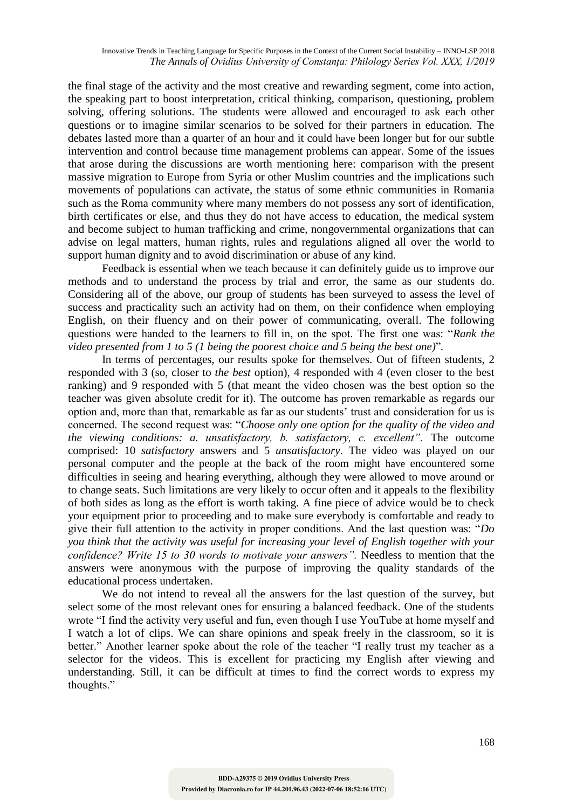the final stage of the activity and the most creative and rewarding segment, come into action, the speaking part to boost interpretation, critical thinking, comparison, questioning, problem solving, offering solutions. The students were allowed and encouraged to ask each other questions or to imagine similar scenarios to be solved for their partners in education. The debates lasted more than a quarter of an hour and it could have been longer but for our subtle intervention and control because time management problems can appear. Some of the issues that arose during the discussions are worth mentioning here: comparison with the present massive migration to Europe from Syria or other Muslim countries and the implications such movements of populations can activate, the status of some ethnic communities in Romania such as the Roma community where many members do not possess any sort of identification, birth certificates or else, and thus they do not have access to education, the medical system and become subject to human trafficking and crime, nongovernmental organizations that can advise on legal matters, human rights, rules and regulations aligned all over the world to support human dignity and to avoid discrimination or abuse of any kind.

Feedback is essential when we teach because it can definitely guide us to improve our methods and to understand the process by trial and error, the same as our students do. Considering all of the above, our group of students has been surveyed to assess the level of success and practicality such an activity had on them, on their confidence when employing English, on their fluency and on their power of communicating, overall. The following questions were handed to the learners to fill in, on the spot. The first one was: "*Rank the video presented from 1 to 5 (1 being the poorest choice and 5 being the best one)*"*.*

In terms of percentages, our results spoke for themselves. Out of fifteen students, 2 responded with 3 (so, closer to *the best* option), 4 responded with 4 (even closer to the best ranking) and 9 responded with 5 (that meant the video chosen was the best option so the teacher was given absolute credit for it). The outcome has proven remarkable as regards our option and, more than that, remarkable as far as our students' trust and consideration for us is concerned. The second request was: "*Choose only one option for the quality of the video and the viewing conditions: a. unsatisfactory, b. satisfactory, c. excellent".* The outcome comprised: 10 *satisfactory* answers and 5 *unsatisfactory*. The video was played on our personal computer and the people at the back of the room might have encountered some difficulties in seeing and hearing everything, although they were allowed to move around or to change seats. Such limitations are very likely to occur often and it appeals to the flexibility of both sides as long as the effort is worth taking. A fine piece of advice would be to check your equipment prior to proceeding and to make sure everybody is comfortable and ready to give their full attention to the activity in proper conditions. And the last question was: "*Do you think that the activity was useful for increasing your level of English together with your confidence? Write 15 to 30 words to motivate your answers".* Needless to mention that the answers were anonymous with the purpose of improving the quality standards of the educational process undertaken.

We do not intend to reveal all the answers for the last question of the survey, but select some of the most relevant ones for ensuring a balanced feedback. One of the students wrote "I find the activity very useful and fun, even though I use YouTube at home myself and I watch a lot of clips. We can share opinions and speak freely in the classroom, so it is better." Another learner spoke about the role of the teacher "I really trust my teacher as a selector for the videos. This is excellent for practicing my English after viewing and understanding. Still, it can be difficult at times to find the correct words to express my thoughts."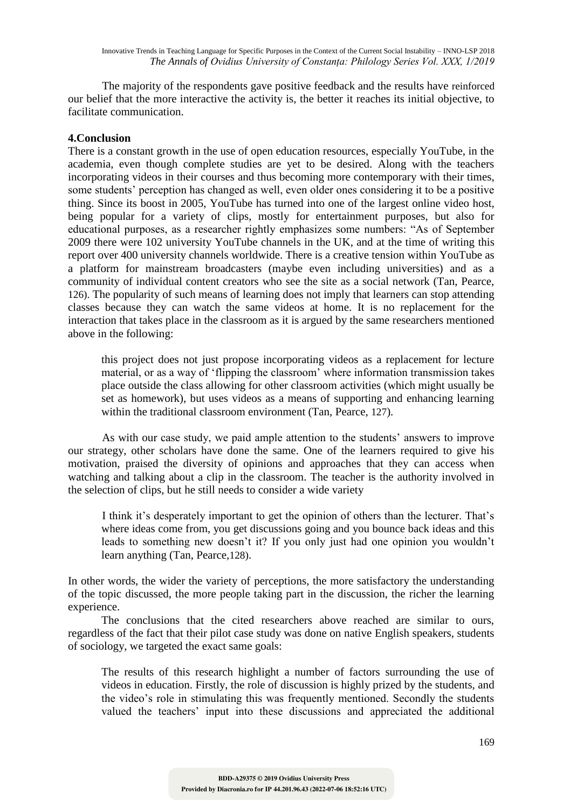The majority of the respondents gave positive feedback and the results have reinforced our belief that the more interactive the activity is, the better it reaches its initial objective, to facilitate communication.

# **4.Conclusion**

There is a constant growth in the use of open education resources, especially YouTube, in the academia, even though complete studies are yet to be desired. Along with the teachers incorporating videos in their courses and thus becoming more contemporary with their times, some students' perception has changed as well, even older ones considering it to be a positive thing. Since its boost in 2005, YouTube has turned into one of the largest online video host, being popular for a variety of clips, mostly for entertainment purposes, but also for educational purposes, as a researcher rightly emphasizes some numbers: "As of September 2009 there were 102 university YouTube channels in the UK, and at the time of writing this report over 400 university channels worldwide. There is a creative tension within YouTube as a platform for mainstream broadcasters (maybe even including universities) and as a community of individual content creators who see the site as a social network (Tan, Pearce, 126). The popularity of such means of learning does not imply that learners can stop attending classes because they can watch the same videos at home. It is no replacement for the interaction that takes place in the classroom as it is argued by the same researchers mentioned above in the following:

this project does not just propose incorporating videos as a replacement for lecture material, or as a way of 'flipping the classroom' where information transmission takes place outside the class allowing for other classroom activities (which might usually be set as homework), but uses videos as a means of supporting and enhancing learning within the traditional classroom environment (Tan, Pearce, 127).

As with our case study, we paid ample attention to the students' answers to improve our strategy, other scholars have done the same. One of the learners required to give his motivation, praised the diversity of opinions and approaches that they can access when watching and talking about a clip in the classroom. The teacher is the authority involved in the selection of clips, but he still needs to consider a wide variety

I think it's desperately important to get the opinion of others than the lecturer. That's where ideas come from, you get discussions going and you bounce back ideas and this leads to something new doesn't it? If you only just had one opinion you wouldn't learn anything (Tan, Pearce,128).

In other words, the wider the variety of perceptions, the more satisfactory the understanding of the topic discussed, the more people taking part in the discussion, the richer the learning experience.

The conclusions that the cited researchers above reached are similar to ours, regardless of the fact that their pilot case study was done on native English speakers, students of sociology, we targeted the exact same goals:

The results of this research highlight a number of factors surrounding the use of videos in education. Firstly, the role of discussion is highly prized by the students, and the video's role in stimulating this was frequently mentioned. Secondly the students valued the teachers' input into these discussions and appreciated the additional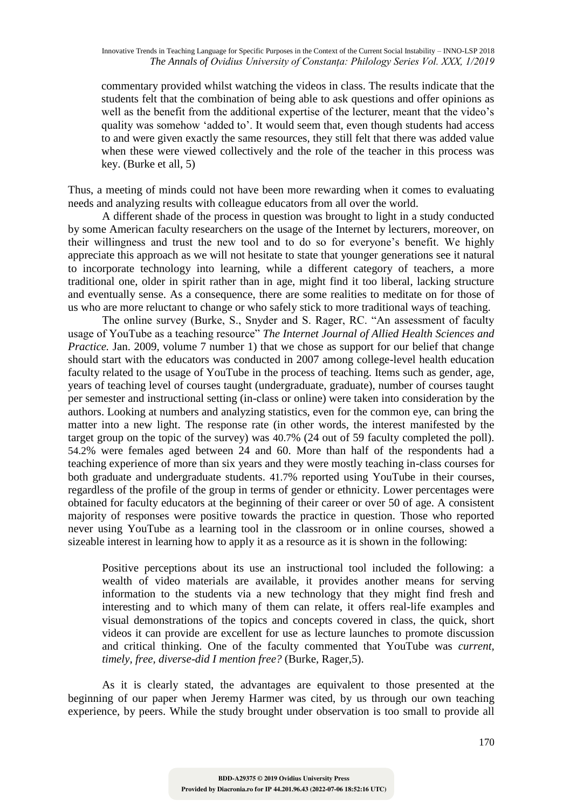commentary provided whilst watching the videos in class. The results indicate that the students felt that the combination of being able to ask questions and offer opinions as well as the benefit from the additional expertise of the lecturer, meant that the video's quality was somehow 'added to'. It would seem that, even though students had access to and were given exactly the same resources, they still felt that there was added value when these were viewed collectively and the role of the teacher in this process was key. (Burke et all, 5)

Thus, a meeting of minds could not have been more rewarding when it comes to evaluating needs and analyzing results with colleague educators from all over the world.

A different shade of the process in question was brought to light in a study conducted by some American faculty researchers on the usage of the Internet by lecturers, moreover, on their willingness and trust the new tool and to do so for everyone's benefit. We highly appreciate this approach as we will not hesitate to state that younger generations see it natural to incorporate technology into learning, while a different category of teachers, a more traditional one, older in spirit rather than in age, might find it too liberal, lacking structure and eventually sense. As a consequence, there are some realities to meditate on for those of us who are more reluctant to change or who safely stick to more traditional ways of teaching.

The online survey (Burke, S., Snyder and S. Rager, RC. "An assessment of faculty usage of YouTube as a teaching resource" *The Internet Journal of Allied Health Sciences and Practice.* Jan. 2009, volume 7 number 1) that we chose as support for our belief that change should start with the educators was conducted in 2007 among college-level health education faculty related to the usage of YouTube in the process of teaching. Items such as gender, age, years of teaching level of courses taught (undergraduate, graduate), number of courses taught per semester and instructional setting (in-class or online) were taken into consideration by the authors. Looking at numbers and analyzing statistics, even for the common eye, can bring the matter into a new light. The response rate (in other words, the interest manifested by the target group on the topic of the survey) was 40.7% (24 out of 59 faculty completed the poll). 54.2% were females aged between 24 and 60. More than half of the respondents had a teaching experience of more than six years and they were mostly teaching in-class courses for both graduate and undergraduate students. 41.7% reported using YouTube in their courses, regardless of the profile of the group in terms of gender or ethnicity. Lower percentages were obtained for faculty educators at the beginning of their career or over 50 of age. A consistent majority of responses were positive towards the practice in question. Those who reported never using YouTube as a learning tool in the classroom or in online courses, showed a sizeable interest in learning how to apply it as a resource as it is shown in the following:

Positive perceptions about its use an instructional tool included the following: a wealth of video materials are available, it provides another means for serving information to the students via a new technology that they might find fresh and interesting and to which many of them can relate, it offers real-life examples and visual demonstrations of the topics and concepts covered in class, the quick, short videos it can provide are excellent for use as lecture launches to promote discussion and critical thinking. One of the faculty commented that YouTube was *current, timely, free, diverse-did I mention free?* (Burke, Rager,5).

As it is clearly stated, the advantages are equivalent to those presented at the beginning of our paper when Jeremy Harmer was cited, by us through our own teaching experience, by peers. While the study brought under observation is too small to provide all